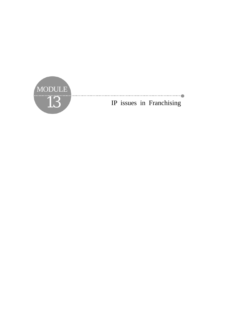

12 IP issues in Franchising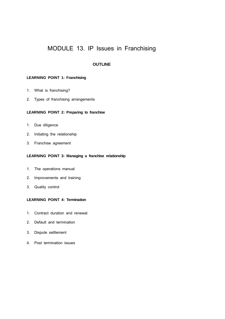# MODULE 13. IP Issues in Franchising

# **OUTLINE**

# **LEARNING POINT 1: Franchising**

- 1. What is franchising?
- 2. Types of franchising arrangements

# **LEARNING POINT 2: Preparing to franchise**

- 1. Due diligence
- 2. Initiating the relationship
- 3. Franchise agreement

# **LEARNING POINT 3: Managing a franchise relationship**

- 1. The operations manual
- 2. Improvements and training
- 3. Quality control

# **LEARNING POINT 4: Termination**

- 1. Contract duration and renewal
- 2. Default and termination
- 3. Dispute settlement
- 4. Post termination issues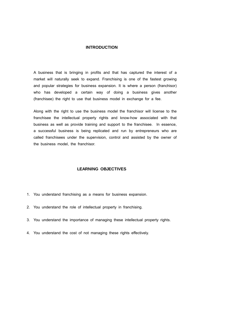# **INTRODUCTION**

A business that is bringing in profits and that has captured the interest of a market will naturally seek to expand. Franchising is one of the fastest growing and popular strategies for business expansion. It is where a person (franchisor) who has developed a certain way of doing a business gives another (franchisee) the right to use that business model in exchange for a fee.

Along with the right to use the business model the franchisor will license to the franchisee the intellectual property rights and know-how associated with that business as well as provide training and support to the franchisee. In essence, a successful business is being replicated and run by entrepreneurs who are called franchisees under the supervision, control and assisted by the owner of the business model, the franchisor.

# **LEARNING OBJECTIVES**

- 1. You understand franchising as a means for business expansion.
- 2. You understand the role of intellectual property in franchising.
- 3. You understand the importance of managing these intellectual property rights.
- 4. You understand the cost of not managing these rights effectively.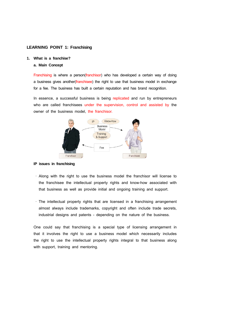# **LEARNING POINT 1: Franchising**

#### **1. What is a franchise?**

# **a. Main Concept**

Franchising is where a person(franchisor) who has developed a certain way of doing a business gives another(franchisee) the right to use that business model in exchange for a fee. The business has built a certain reputation and has brand recognition.

In essence, a successful business is being replicated and run by entrepreneurs who are called franchisees under the supervision, control and assisted by the owner of the business model, the franchisor.



### **IP issues in franchising**

- · Along with the right to use the business model the franchisor will license to the franchisee the intellectual property rights and know-how associated with that business as well as provide initial and ongoing training and support.
- · The intellectual property rights that are licensed in a franchising arrangement almost always include trademarks, copyright and often include trade secrets, industrial designs and patents - depending on the nature of the business.

One could say that franchising is a special type of licensing arrangement in that it involves the right to use a business model which necessarily includes the right to use the intellectual property rights integral to that business along with support, training and mentoring.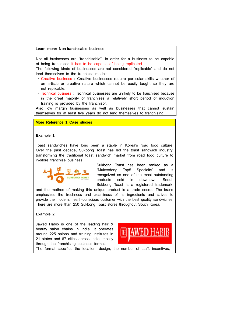#### **Learn more: Non-franchisable business**

Not all businesses are "franchisable". In order for a business to be capable of being franchised it has to be capable of being replicated.

The following kinds of businesses are not considered "replicable" and do not lend themselves to the franchise model:

- · Creative business : Creative businesses require particular skills whether of an artistic or creative nature which cannot be easily taught so they are not replicable.
- · Technical business : Technical businesses are unlikely to be franchised because in the great majority of franchises a relatively short period of induction training is provided by the franchisor.

Also low margin businesses as well as businesses that cannot sustain themselves for at least five years do not lend themselves to franchising.

# **More Reference 1 Case studies**

# **Example 1**

Toast sandwiches have long been a staple in Korea's road food culture. Over the past decade, Sukbong Toast has led the toast sandwich industry, transforming the traditional toast sandwich market from road food culture to in-store franchise business.



Sukbong Toast has been ranked as a "Mukyodong Top5 Specialty" and is recognized as one of the most outstanding products sold in downtown Seoul. Sukbong Toast is a registered trademark,

and the method of making this unique product is a trade secret. The brand emphasizes the freshness and cleanliness of its ingredients and strives to provide the modern, health-conscious customer with the best quality sandwiches. There are more than 250 Sukbong Toast stores throughout South Korea.

#### **Example 2**

Jawed Habib is one of the leading hair & beauty salon chains in India. It operates around 225 salons and training institutes in 21 states and 67 cities across India, mostly through the franchising business format.



The format specifies the location, design, the number of staff, incentives,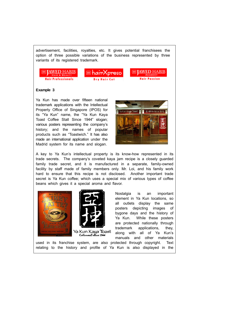advertisement, facilities, royalties, etc. It gives potential franchisees the option of three possible variations of the business represented by three variants of its registered trademark.







# **Example 3**

Ya Kun has made over fifteen national trademark applications with the Intellectual Property Office of Singapore (IPOS) for its "Ya Kun" name, the "Ya Kun Kaya Toast Coffee Stall Since 1944" slogan; various posters representing the company's history; and the names of popular products such as "Toastwich." It has also made an international application under the Madrid system for its name and slogan.



A key to Ya Kun's intellectual property is its know-how represented in its trade secrets. The company's coveted kaya jam recipe is a closely guarded family trade secret, and it is manufactured in a separate, family-owned facility by staff made of family members only. Mr. Loi, and his family work hard to ensure that this recipe is not disclosed. Another important trade secret is Ya Kun coffee; which uses a special mix of various types of coffee beans which gives it a special aroma and flavor.





Ya Kun Kaya Toast<br>Coffeestall since 1944

Nostalgia is an important element in Ya Kun locations, so all outlets display the same posters depicting images of bygone days and the history of Ya Kun. While these posters are protected nationally through trademark applications, they, along with all of Ya Kun's manuals and other materials

used in its franchise system, are also protected through copyright. Text relating to the history and profile of Ya Kun is also displayed in the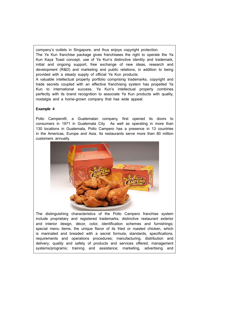company's outlets in Singapore, and thus enjoys copyright protection.

The Ya Kun franchise package gives franchisees the right to operate the Ya Kun Kaya Toast concept, use of Ya Kun's distinctive identity and trademark, initial and ongoing support, free exchange of new ideas, research and development (R&D) and marketing and public relations, in addition to being provided with a steady supply of official Ya Kun products.

A valuable intellectual property portfolio comprising trademarks, copyright and trade secrets coupled with an effective franchising system has propelled Ya Kun to international success. Ya Kun's intellectual property combines perfectly with its brand recognition to associate Ya Kun products with quality, nostalgia and a home-grown company that has wide appeal.

# **Example 4**

Pollo Campero®, a Guatemalan company, first opened its doors to consumers in 1971 in Guatemala City. As well as operating in more than 130 locations in Guatemala, Pollo Campero has a presence in 13 countries in the Americas, Europe and Asia. Its restaurants serve more than 80 million customers annually.



The distinguishing characteristics of the Pollo Campero franchise system include proprietary and registered trademarks; distinctive restaurant exterior and interior design, décor, color, identification schemes and furnishings; special menu items; the unique flavor of its fried or roasted chicken, which is marinated and breaded with a secret formula; standards, specifications, requirements and operations procedures; manufacturing, distribution and delivery; quality and safety of products and services offered; management systems/programs; training and assistance; marketing, advertising and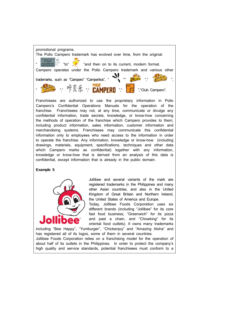

Franchisees are authorized to use the proprietary information in Pollo Campero's Confidential Operations Manuals for the operation of the franchise. Franchisees may not, at any time, communicate or divulge any confidential information, trade secrets, knowledge, or know-how concerning the methods of operation of the franchise which Campero provides to them, including product information, sales information, customer information and merchandising systems. Franchisees may communicate this confidential information only to employees who need access to the information in order to operate the franchise. Any information, knowledge or know-how (including drawings, materials, equipment, specifications, techniques and other data which Campero marks as confidential) together with any information, knowledge or know-how that is derived from an analysis of this data is confidential, except information that is already in the public domain.

### **Example 5**



Jollibee and several variants of the mark are registered trademarks in the Philippines and many other Asian countries, and also in the United Kingdom of Great Britain and Northern Ireland, the United States of America and Europe.

Today, Jollibee Foods Corporation uses six different brands (including "Jollibee" for its core fast food business; "Greenwich" for its pizza and past a chain, and "Chowking" for its oriental food outlets). It owns many trademarks

including "Bee Happy", "Yumburger", "Chickenjoy" and "Amazing Aloha" and has registered all of its logos, some of them in several countries. Jollibee Foods Corporation relies on a franchising model for the operation of about half of its outlets in the Philippines. In order to protect the company's high quality and service standards, potential franchisees must conform to a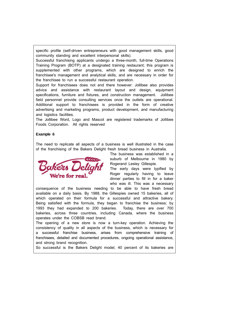specific profile (self-driven entrepreneurs with good management skills, good community standing and excellent interpersonal skills).

Successful franchising applicants undergo a three-month, full-time Operations Training Program (BOTP) at a designated training restaurant; this program is supplemented with other programs, which are designed to enrich the franchisee's management and analytical skills, and are necessary in order for the franchisee to run a successful restaurant operation.

Support for franchisees does not end there however: Jollibee also provides advice and assistance with restaurant layout and design, equipment specifications, furniture and fixtures, and construction management. Jollibee field personnel provide consulting services once the outlets are operational. Additional support to franchisees is provided in the form of creative advertising and marketing programs, product development, and manufacturing and logistics facilities.

The Jollibee Word, Logo and Mascot are registered trademarks of Jollibee Foods Corporation. All rights reserved

# **Example 6**

The need to replicate all aspects of a business is well illustrated in the case of the franchising of the Bakers Delight fresh bread business in Australia.



The business was established in a suburb of Melbourne in 1980 by Rogerand Lesley Gillespie.

The early days were typified by Roger regularly having to leave dinner parties to fill in for a baker who was ill. This was a necessary

consequence of the business needing to be able to have fresh bread available on a daily basis. By 1988, the Gillespies owned 15 bakeries, all of which operated on their formula for a successful and attractive bakery. Being satisfied with the formula, they began to franchise the business; by 1993 they had expanded to 200 bakeries. Today, there are over 700 bakeries, across three countries, including Canada, where the business operates under the COBSB read brand.

The opening of a new store is now a turn-key operation. Achieving the consistency of quality in all aspects of the business, which is necessary for a successful franchise business, arises from comprehensive training of franchisees, detailed and documented procedures, ongoing operational assistance, and strong brand recognition.

So successful is the Bakers Delight model, 40 percent of its bakeries are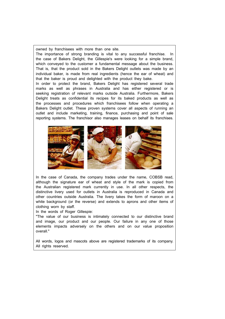owned by franchisees with more than one site.

The importance of strong branding is vital to any successful franchise. In the case of Bakers Delight, the Gillespie's were looking for a simple brand, which conveyed to the customer a fundamental message about the business. That is, that the product sold in the Bakers Delight outlets was made by an individual baker, is made from real ingredients (hence the ear of wheat) and that the baker is proud and delighted with the product they bake.

In order to protect the brand, Bakers Delight has registered several trade marks as well as phrases in Australia and has either registered or is seeking registration of relevant marks outside Australia. Furthermore, Bakers Delight treats as confidential its recipes for its baked products as well as the processes and procedures which franchisees follow when operating a Bakers Delight outlet. These proven systems cover all aspects of running an outlet and include marketing, training, finance, purchasing and point of sale reporting systems. The franchisor also manages leases on behalf its franchises.



In the case of Canada, the company trades under the name, COBSB read, although the signature ear of wheat and style of the mark is copied from the Australian registered mark currently in use. In all other respects, the distinctive livery used for outlets in Australia is reproduced in Canada and other countries outside Australia. The livery takes the form of maroon on a white background (or the reverse) and extends to aprons and other items of clothing worn by staff.

In the words of Roger Gillespie:

"The value of our business is intimately connected to our distinctive brand and image, our product and our people. Our failure in any one of those elements impacts adversely on the others and on our value proposition overall."

All words, logos and mascots above are registered trademarks of its company. All rights reserved.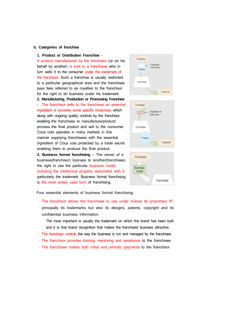#### **b. Categories of franchise**

#### **1. Product or Distribution Franchise** -

A product manufactured by the franchisor (or on his behalf by another) is sold to a franchisee who in turn sells it to the consumer under the trademark of the franchisor. Such a franchise is usually restricted to a particular geographical area and the franchisee pays fees referred to as royalties to the franchisor for the right to do business under his trademark **2. Manufacturing, Production or Processing Franchise** - The franchisor sells to the franchisee an essential ingredient or provides some specific know-how, which along with ongoing quality controls by the franchisor, enabling the franchisee to manufacture/product/ process the final product and sell to the consumer. Coca cola operates in many markets in this manner supplying franchisees with the essential ingredient of Coca cola protected by a trade secret enabling them to produce the final product.

**3. Business format franchising** – The owner of a business(franchisor) licenses to another(franchisee) the right to use the particular business model including the intellectual property associated with it, particularly the trademark. Business format franchising is the most widely used form of franchising.







Four essential elements of business format franchising.

- · The franchisor allows the franchisee to use under license its proprietary IP, principally its trademarks but also its designs, patents, copyright and its confidential business information.
	- The most important is usually the trademark on which the brand has been built and it is that brand recognition that makes the franchised business attractive
- · The franchisor controls the way the business is run and managed by the franchisee.
- · The franchisor provides training, mentoring and assistance to the franchisee.
- · The franchisee makes both initial and periodic payments to the franchisor.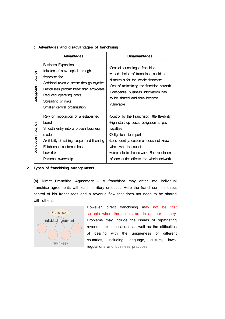# **c. Advantages and disadvantages of franchising**

|                               | Advantages                                                                                                                                                                                                                                                 | <b>Disadvantages</b>                                                                                                                                                                                                                                                                  |
|-------------------------------|------------------------------------------------------------------------------------------------------------------------------------------------------------------------------------------------------------------------------------------------------------|---------------------------------------------------------------------------------------------------------------------------------------------------------------------------------------------------------------------------------------------------------------------------------------|
| ಕ<br>the<br><b>Franchisor</b> | <b>Business Expansion</b><br>Infusion of new capital through<br>franchise fee<br>Additional revenue stream through royalties<br>Franchisees perform better than employees<br>Reduced operating costs<br>Spreading of risks<br>Smaller central organization | Cost of launching a franchise<br>A bad choice of franchisee could be<br>disastrous for the whole franchise<br>Cost of maintaining the franchise network<br>Confidential business information has<br>to be shared and thus become<br>vulnerable                                        |
| ಕ<br>흥<br>Franchisee          | Rely on recognition of a established<br>brand<br>Smooth entry into a proven business<br>model<br>Availability of training, support and financing<br><b>Established customer base</b><br>Low risk<br>·Personal ownership                                    | Control by the Franchisor, little flexibility<br>High start up costs, obligation to pay<br>royalties<br>Obligations to report<br>Lose identity, customer does not know<br>who owns the outlet<br>Vulnerable to the network. Bad reputation<br>of one outlet affects the whole network |

# **2. Types of franchising arrangements**

**(a) Direct Franchise Agreement –** A franchisor may enter into individual franchise agreements with each territory or outlet. Here the franchisor has direct control of his franchisees and a revenue flow that does not need to be shared with others.



However, direct franchising may not be that suitable when the outlets are in another country. Problems may include the issues of repatriating revenue, tax implications as well as the difficulties of dealing with the uniqueness of different countries, including language, culture, laws, regulations and business practices.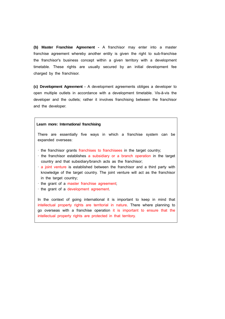**(b) Master Franchise Agreement -** A franchisor may enter into a master franchise agreement whereby another entity is given the right to sub-franchise the franchisor's business concept within a given territory with a development timetable. These rights are usually secured by an initial development fee charged by the franchisor.

**(c) Development Agreement -** A development agreements obliges a developer to open multiple outlets in accordance with a development timetable. Vis-ā-vis the developer and the outlets; rather it involves franchising between the franchisor and the developer.

#### **Learn more: International franchising**

There are essentially five ways in which a franchise system can be expanded overseas:

- · the franchisor grants franchises to franchisees in the target country;
- · the franchisor establishes a subsidiary or a branch operation in the target country and that subsidiary/branch acts as the franchisor;
- · a joint venture is established between the franchisor and a third party with knowledge of the target country. The joint venture will act as the franchisor in the target country;
- · the grant of a master franchise agreement;
- · the grant of a development agreement.

In the context of going international it is important to keep in mind that intellectual property rights are territorial in nature. There where planning to go overseas with a franchise operation it is important to ensure that the intellectual property rights are protected in that territory.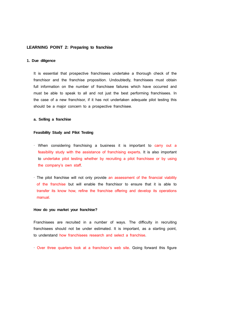# **LEARNING POINT 2: Preparing to franchise**

### **1. Due diligence**

It is essential that prospective franchisees undertake a thorough check of the franchisor and the franchise proposition. Undoubtedly, franchisees must obtain full information on the number of franchisee failures which have occurred and must be able to speak to all and not just the best performing franchisees. In the case of a new franchisor, if it has not undertaken adequate pilot testing this should be a major concern to a prospective franchisee.

### **a. Selling a franchise**

#### **Feasibility Study and Pilot Testing**

- · When considering franchising a business it is important to carry out a feasibility study with the assistance of franchising experts. It is also important to undertake pilot testing whether by recruiting a pilot franchisee or by using the company's own staff.
- · The pilot franchise will not only provide an assessment of the financial viability of the franchise but will enable the franchisor to ensure that it is able to transfer its know how, refine the franchise offering and develop its operations manual.

# **How do you market your franchise?**

Franchisees are recruited in a number of ways. The difficulty in recruiting franchisees should not be under estimated. It is important, as a starting point, to understand how franchisees research and select a franchise.

· Over three quarters look at a franchisor's web site. Going forward this figure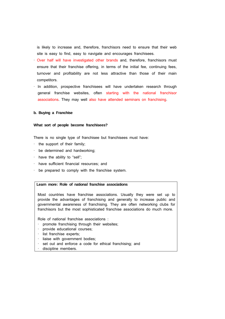is likely to increase and, therefore, franchisors need to ensure that their web site is easy to find, easy to navigate and encourages franchisees.

- · Over half will have investigated other brands and, therefore, franchisors must ensure that their franchise offering, in terms of the initial fee, continuing fees, turnover and profitability are not less attractive than those of their main competitors.
- · In addition, prospective franchisees will have undertaken research through general franchise websites, often starting with the national franchisor associations. They may well also have attended seminars on franchising.

### **b. Buying a Franchise**

#### **What sort of people become franchisees?**

There is no single type of franchisee but franchisees must have:

- · the support of their family;
- · be determined and hardworking;
- · have the ability to "sell";
- · have sufficient financial resources; and
- · be prepared to comply with the franchise system.

# **Learn more: Role of national franchise associations**

Most countries have franchise associations. Usually they were set up to provide the advantages of franchising and generally to increase public and governmental awareness of franchising. They are often networking clubs for franchisors but the most sophisticated franchise associations do much more.

Role of national franchise associations :

- · promote franchising through their websites;
- · provide educational courses;
- · list franchise experts;
- · liaise with government bodies;
- set out and enforce a code for ethical franchising; and
- discipline members.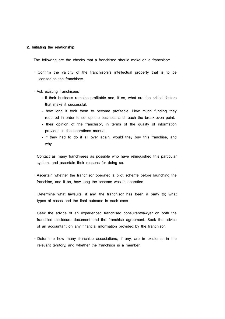### **2. Initiating the relationship**

The following are the checks that a franchisee should make on a franchisor:

- · Confirm the validity of the franchisors's intellectual property that is to be licensed to the franchisee.
- · Ask existing franchisees
	- if their business remains profitable and, if so, what are the critical factors that make it successful.
	- how long it took them to become profitable. How much funding they required in order to set up the business and reach the break-even point.
	- their opinion of the franchisor, in terms of the quality of information provided in the operations manual.
	- if they had to do it all over again, would they buy this franchise, and why.
- · Contact as many franchisees as possible who have relinquished this particular system, and ascertain their reasons for doing so.
- · Ascertain whether the franchisor operated a pilot scheme before launching the franchise, and if so, how long the scheme was in operation.
- · Determine what lawsuits, if any, the franchisor has been a party to; what types of cases and the final outcome in each case.
- · Seek the advice of an experienced franchised consultant/lawyer on both the franchise disclosure document and the franchise agreement. Seek the advice of an accountant on any financial information provided by the franchisor.
- · Determine how many franchise associations, if any, are in existence in the relevant territory, and whether the franchisor is a member.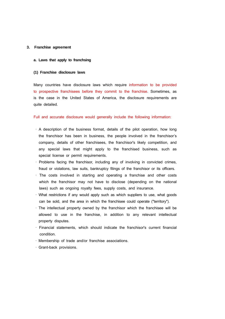#### **3. Franchise agreement**

#### **a. Laws that apply to franchsing**

### **(1) Franchise disclosure laws**

Many countries have disclosure laws which require information to be provided to prospective franchisees before they commit to the franchise. Sometimes, as is the case in the United States of America, the disclosure requirements are quite detailed.

Full and accurate disclosure would generally include the following information:

- · A description of the business format, details of the pilot operation, how long the franchisor has been in business, the people involved in the franchisor's company, details of other franchisees, the franchisor's likely competition, and any special laws that might apply to the franchised business, such as special license or permit requirements.
- · Problems facing the franchisor, including any of involving in convicted crimes, fraud or violations, law suits, bankruptcy filings of the franchisor or its officers.
- · The costs involved in starting and operating a franchise and other costs which the franchisor may not have to disclose (depending on the national laws) such as ongoing royalty fees, supply costs, and insurance.
- · What restrictions if any would apply such as which suppliers to use, what goods can be sold, and the area in which the franchisee could operate ("territory").
- · The intellectual property owned by the franchisor which the franchisee will be allowed to use in the franchise, in addition to any relevant intellectual property disputes.
- · Financial statements, which should indicate the franchisor's current financial condition.
- · Membership of trade and/or franchise associations.
- · Grant-back provisions.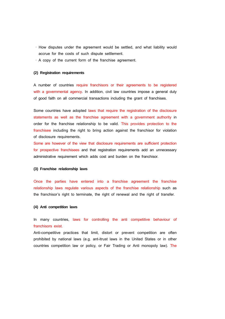- · How disputes under the agreement would be settled, and what liability would accrue for the costs of such dispute settlement.
- · A copy of the current form of the franchise agreement.

### **(2) Registration requirements**

A number of countries require franchisors or their agreements to be registered with a governmental agency. In addition, civil law countries impose a general duty of good faith on all commercial transactions including the grant of franchises.

Some countries have adopted laws that require the registration of the disclosure statements as well as the franchise agreement with a government authority in order for the franchise relationship to be valid. This provides protection to the franchisee including the right to bring action against the franchisor for violation of disclosure requirements.

Some are however of the view that disclosure requirements are sufficient protection for prospective franchisees and that registration requirements add an unnecessary administrative requirement which adds cost and burden on the franchisor.

#### **(3) Franchise relationship laws**

Once the parties have entered into a franchise agreement the franchise relationship laws regulate various aspects of the franchise relationship such as the franchisor's right to terminate, the right of renewal and the right of transfer.

#### **(4) Anti competition laws**

In many countries, laws for controlling the anti competitive behaviour of franchisors exist.

Anti-competitive practices that limit, distort or prevent competition are often prohibited by national laws (e.g. ant-itrust laws in the United States or in other countries competition law or policy, or Fair Trading or Anti monopoly law). The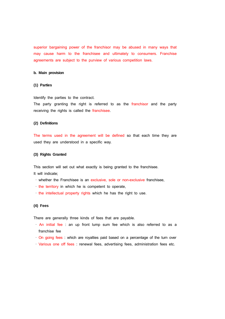superior bargaining power of the franchisor may be abused in many ways that may cause harm to the franchisee and ultimately to consumers. Franchise agreements are subject to the purview of various competition laws.

# **b. Main provision**

# **(1) Parties**

Identify the parties to the contract.

The party granting the right is referred to as the franchisor and the party receiving the rights is called the franchisee.

#### **(2) Definitions**

The terms used in the agreement will be defined so that each time they are used they are understood in a specific way.

#### **(3) Rights Granted**

This section will set out what exactly is being granted to the franchisee.

It will indicate;

- · whether the Franchisee is an exclusive, sole or non-exclusive franchisee,
- · the territory in which he is competent to operate,
- · the intellectual property rights which he has the right to use.

# **(4) Fees**

There are generally three kinds of fees that are payable.

- · An initial fee : an up front lump sum fee which is also referred to as a franchise fee
- · On going fees : which are royalties paid based on a percentage of the turn over
- · Various one off fees : renewal fees, advertising fees, administration fees etc.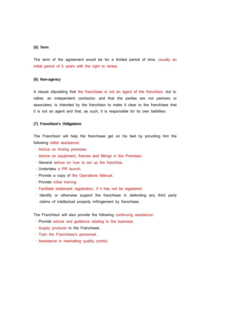### **(5) Term**

The term of the agreement would be for a limited period of time, usually an initial period of 5 years with the right to renew.

### **(6) Non-agency**

A clause stipulating that the franchisee is not an agent of the franchisor, but is, rather, an independent contractor, and that the parties are not partners or associates, is intended by the franchisor to make it clear to the franchisee that it is not an agent and that, as such, it is responsible for its own liabilities.

# **(7) Franchisor's Obligations**

The Franchisor will help the franchisee get on his feet by providing him the following initial assistance:

- · Advice on finding premises.
- · Advice on equipment, fixtures and fittings in the Premises.
- · General advice on how to set up the franchise.
- · Undertake a PR launch.
- · Provide a copy of the Operations Manual.
- · Provide initial training.
- · Facilitate trademark registration, if it has not be registered.
- · Identify or otherwise support the franchisee in defending any third party claims of intellectual property infringement by franchisee.

The Franchisor will also provide the following continuing assistance:

- · Provide advice and guidance relating to the business.
- · Supply products to the Franchisee.
- · Train the Franchisee's personnel.
- · Assistance in marinating quality control.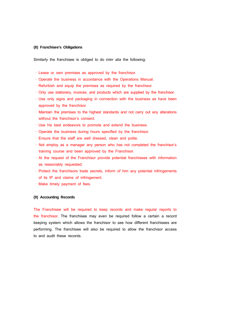### **(8) Franchisee's Obligations**

Similarly the franchisee is obliged to do *inter alia* the following:

- · Lease or own premises as approved by the franchisor.
- · Operate the business in accordance with the Operations Manual.
- · Refurbish and equip the premises as required by the franchisor.
- · Only use stationery, invoices, and products which are supplied by the franchisor.
- · Use only signs and packaging in connection with the business as have been approved by the franchisor.
- · Maintain the premises to the highest standards and not carry out any alterations without the franchisor's consent.
- · Use his best endeavors to promote and extend the business.
- · Operate the business during hours specified by the franchisor.
- · Ensure that the staff are well dressed, clean and polite.
- · Not employ as a manager any person who has not completed the franchisor's training course and been approved by the Franchisor.
- · At the request of the Franchisor provide potential franchisees with information as reasonably requested.
- · Protect the franchisors trade secrets, inform of him any potential infringements of its IP and claims of infringement.
- · Make timely payment of fees.

# **(9) Accounting Records**

The Franchisee will be required to keep records and make regular reports to the franchisor. The franchisee may even be required follow a certain a record keeping system which allows the franchisor to see how different franchisees are performing. The franchisee will also be required to allow the franchisor access to and audit these records.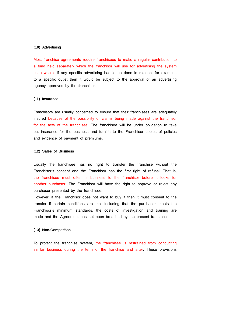#### **(10) Advertising**

Most franchise agreements require franchisees to make a regular contribution to a fund held separately which the franchisor will use for advertising the system as a whole. If any specific advertising has to be done in relation, for example, to a specific outlet then it would be subject to the approval of an advertising agency approved by the franchisor.

#### **(11) Insurance**

Franchisors are usually concerned to ensure that their franchisees are adequately insured because of the possibility of claims being made against the franchisor for the acts of the franchisee. The franchisee will be under obligation to take out insurance for the business and furnish to the Franchisor copies of policies and evidence of payment of premiums.

### **(12) Sales of Business**

Usually the franchisee has no right to transfer the franchise without the Franchisor's consent and the Franchisor has the first right of refusal. That is, the franchisee must offer its business to the franchisor before it looks for another purchaser. The Franchisor will have the right to approve or reject any purchaser presented by the franchisee.

However, if the Franchisor does not want to buy it then it must consent to the transfer if certain conditions are met including that the purchaser meets the Franchisor's minimum standards, the costs of investigation and training are made and the Agreement has not been breached by the present franchisee.

### **(13) Non-Competition**

To protect the franchise system, the franchisee is restrained from conducting similar business during the term of the franchise and after. These provisions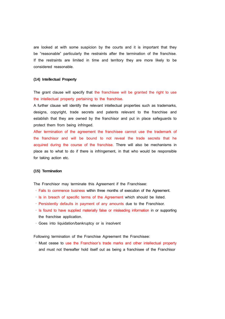are looked at with some suspicion by the courts and it is important that they be "reasonable" particularly the restraints after the termination of the franchise. If the restraints are limited in time and territory they are more likely to be considered reasonable.

### **(14) Intellectual Property**

The grant clause will specify that the franchisee will be granted the right to use the intellectual property pertaining to the franchise.

A further clause will identify the relevant intellectual properties such as trademarks, designs, copyright, trade secrets and patents relevant to the franchise and establish that they are owned by the franchisor and put in place safeguards to protect them from being infringed.

After termination of the agreement the franchisee cannot use the trademark of the franchisor and will be bound to not reveal the trade secrets that he acquired during the course of the franchise. There will also be mechanisms in place as to what to do if there is infringement, in that who would be responsible for taking action etc.

#### **(15) Termination**

The Franchisor may terminate this Agreement if the Franchisee:

- · Fails to commence business within three months of execution of the Agreement.
- · Is in breach of specific terms of the Agreement which should be listed.
- · Persistently defaults in payment of any amounts due to the Franchisor.
- · Is found to have supplied materially false or misleading information in or supporting the franchise application.
- · Goes into liquidation/bankruptcy or is insolvent

Following termination of the Franchise Agreement the Franchisee:

 · Must cease to use the Franchisor's trade marks and other intellectual property and must not thereafter hold itself out as being a franchisee of the Franchisor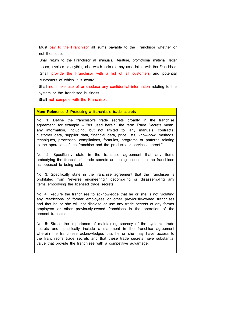- · Must pay to the Franchisor all sums payable to the Franchisor whether or not then due.
- · Shall return to the Franchisor all manuals, literature, promotional material, letter heads, invoices or anything else which indicates any association with the Franchisor.
- · Shall provide the Franchisor with a list of all customers and potential customers of which it is aware.
- · Shall not make use of or disclose any confidential information relating to the system or the franchised business.
- · Shall not compete with the Franchisor.

#### **More Reference 2 Protecting a franchise's trade secrets**

No. 1: Define the franchisor's trade secrets broadly in the franchise agreement, for example -- "As used herein, the term Trade Secrets mean, any information, including, but not limited to, any manuals, contracts, customer data, supplier data, financial data, price lists, know-how, methods, techniques, processes, compilations, formulas, programs or patterns relating to the operation of the franchise and the products or services thereof."

No. 2: Specifically state in the franchise agreement that any items embodying the franchisor's trade secrets are being licensed to the franchisee as opposed to being sold.

No. 3: Specifically state in the franchise agreement that the franchisee is prohibited from "reverse engineering," decompiling or disassembling any items embodying the licensed trade secrets.

No. 4: Require the franchisee to acknowledge that he or she is not violating any restrictions of former employees or other previously-owned franchises and that he or she will not disclose or use any trade secrets of any former employers or other previously-owned franchises in the operation of the present franchise.

No. 5: Stress the importance of maintaining secrecy of the system's trade secrets and specifically include a statement in the franchise agreement wherein the franchisee acknowledges that he or she may have access to the franchisor's trade secrets and that these trade secrets have substantial value that provide the franchisee with a competitive advantage.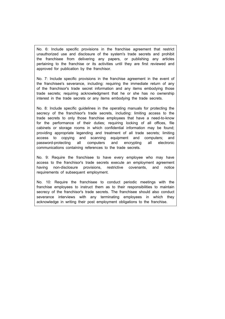No. 6: Include specific provisions in the franchise agreement that restrict unauthorized use and disclosure of the system's trade secrets and prohibit the franchisee from delivering any papers, or publishing any articles pertaining to the franchise or its activities until they are first reviewed and approved for publication by the franchisor.

No. 7: Include specific provisions in the franchise agreement in the event of the franchisee's severance, including: requiring the immediate return of any of the franchisor's trade secret information and any items embodying those trade secrets; requiring acknowledgment that he or she has no ownership interest in the trade secrets or any items embodying the trade secrets.

No. 8: Include specific guidelines in the operating manuals for protecting the secrecy of the franchisor's trade secrets, including: limiting access to the trade secrets to only those franchise employees that have a need-to-know for the performance of their duties; requiring locking of all offices, file cabinets or storage rooms in which confidential information may be found; providing appropriate legending and treatment of all trade secrets; limiting access to copying and scanning equipment and computers; and password-protecting all computers and encrypting all electronic communications containing references to the trade secrets.

No. 9: Require the franchisee to have every employee who may have access to the franchisor's trade secrets execute an employment agreement having non-disclosure provisions, restrictive covenants, and notice requirements of subsequent employment.

No. 10: Require the franchisee to conduct periodic meetings with the franchise employees to instruct them as to their responsibilities to maintain secrecy of the franchisor's trade secrets. The franchisee should also conduct severance interviews with any terminating employees in which they acknowledge in writing their post employment obligations to the franchise.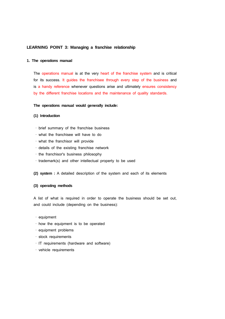# **LEARNING POINT 3: Managing a franchise relationship**

#### **1. The operations manual**

The operations manual is at the very heart of the franchise system and is critical for its success. It guides the franchisee through every step of the business and is a handy reference whenever questions arise and ultimately ensures consistency by the different franchise locations and the maintenance of quality standards.

# **The operations manual would generally include:**

#### **(1) Introduction**

- · brief summary of the franchise business
- · what the franchisee will have to do
- · what the franchisor will provide
- · details of the existing franchise network
- · the franchisor's business philosophy
- · trademark(s) and other intellectual property to be used
- **(2) system :** A detailed description of the system and each of its elements

### **(3) operating methods**

A list of what is required in order to operate the business should be set out, and could include (depending on the business):

- · equipment
- · how the equipment is to be operated
- · equipment problems
- · stock requirements
- · IT requirements (hardware and software)
- · vehicle requirements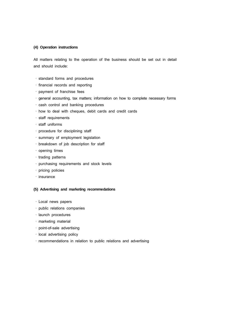### **(4) Operation instructions**

All matters relating to the operation of the business should be set out in detail and should include:

- · standard forms and procedures
- · financial records and reporting
- · payment of franchise fees
- · general accounting, tax matters; information on how to complete necessary forms
- · cash control and banking procedures
- · how to deal with cheques, debit cards and credit cards
- · staff requirements
- · staff uniforms
- · procedure for disciplining staff
- · summary of employment legislation
- · breakdown of job description for staff
- · opening times
- · trading patterns
- · purchasing requirements and stock levels
- · pricing policies
- · insurance

# **(5) Advertising and marketing recommedations**

- · Local news papers
- · public relations companies
- · launch procedures
- · marketing material
- · point-of-sale advertising
- · local advertising policy
- · recommendations in relation to public relations and advertising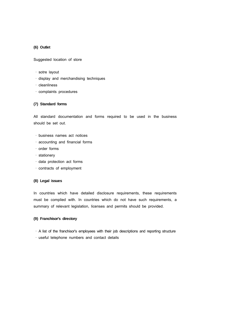# **(6) Outlet**

Suggested location of store

- · sotre layout
- · display and merchandising techniques
- · cleanliness
- · complaints procedures

### **(7) Standard forms**

All standard documentation and forms required to be used in the business should be set out.

- · business names act notices
- · accounting and financial forms
- · order forms
- · stationery
- · data protection act forms
- · contracts of employment

# **(8) Legal issues**

In countries which have detailed disclosure requirements, these requirements must be complied with. In countries which do not have such requirements, a summary of relevant legislation, licenses and permits should be provided.

# **(9) Franchisor's directory**

- · A list of the franchisor's employees with their job descriptions and reporting structure
- · useful telephone numbers and contact details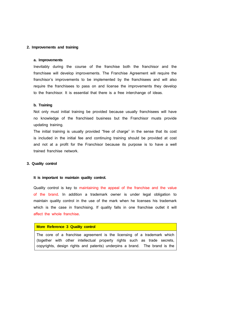# **2. Improvements and training**

#### **a. Improvements**

Inevitably during the course of the franchise both the franchisor and the franchisee will develop improvements. The Franchise Agreement will require the franchisor's improvements to be implemented by the franchisees and will also require the franchisees to pass on and license the improvements they develop to the franchisor. It is essential that there is a free interchange of ideas.

#### **b. Training**

Not only must initial training be provided because usually franchisees will have no knowledge of the franchised business but the Franchisor musts provide updating training.

The initial training is usually provided "free of charge" in the sense that its cost is included in the initial fee and continuing training should be provided at cost and not at a profit for the Franchisor because its purpose is to have a well trained franchise network.

# **3. Quality control**

#### **It is important to maintain quality control.**

Quality control is key to maintaining the appeal of the franchise and the value of the brand. In addition a trademark owner is under legal obligation to maintain quality control in the use of the mark when he licenses his trademark which is the case in franchising. If quality falls in one franchise outlet it will affect the whole franchise.

### **More Reference 3 Quality control**

The core of a franchise agreement is the licensing of a trademark which (together with other intellectual property rights such as trade secrets, copyrights, design rights and patents) underpins a brand. The brand is the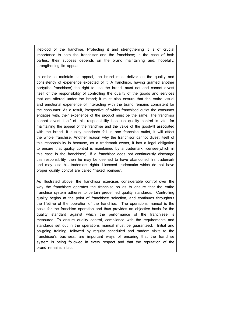lifeblood of the franchise. Protecting it and strengthening it is of crucial importance to both the franchisor and the franchisee; in the case of both parties, their success depends on the brand maintaining and, hopefully, strengthening its appeal.

In order to maintain its appeal, the brand must deliver on the quality and consistency of experience expected of it. A franchisor, having granted another party(the franchisee) the right to use the brand, must not and cannot divest itself of the responsibility of controlling the quality of the goods and services that are offered under the brand; it must also ensure that the entire visual and emotional experience of interacting with the brand remains consistent for the consumer. As a result, irrespective of which franchised outlet the consumer engages with, their experience of the product must be the same. The franchisor cannot divest itself of this responsibility because quality control is vital for maintaining the appeal of the franchise and the value of the goodwill associated with the brand. If quality standards fall in one franchise outlet, it will affect the whole franchise. Another reason why the franchisor cannot divest itself of this responsibility is because, as a trademark owner, it has a legal obligation to ensure that quality control is maintained by a trademark licensee(which in this case is the franchisee). If a franchisor does not continuously discharge this responsibility, then he may be deemed to have abandoned his trademark and may lose his trademark rights. Licensed trademarks which do not have proper quality control are called "naked licenses".

As illustrated above, the franchisor exercises considerable control over the way the franchisee operates the franchise so as to ensure that the entire franchise system adheres to certain predefined quality standards. Controlling quality begins at the point of franchisee selection, and continues throughout the lifetime of the operation of the franchise. The operations manual is the basis for the franchise operation and thus provides an objective basis for the quality standard against which the performance of the franchisee is measured. To ensure quality control, compliance with the requirements and standards set out in the operations manual must be guaranteed. Initial and on-going training, followed by regular scheduled and random visits to the franchisee's business, are important ways of ensuring that the franchise system is being followed in every respect and that the reputation of the brand remains intact.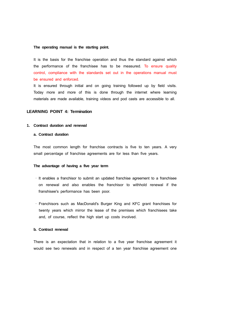#### **The operating manual is the starting point.**

It is the basis for the franchise operation and thus the standard against which the performance of the franchisee has to be measured. To ensure quality control, compliance with the standards set out in the operations manual must be ensured and enforced.

It is ensured through initial and on going training followed up by field visits. Today more and more of this is done through the internet where learning materials are made available, training videos and pod casts are accessible to all.

### **LEARNING POINT 4: Termination**

#### **1. Contract duration and renewal**

# **a. Contract duration**

The most common length for franchise contracts is five to ten years. A very small percentage of franchise agreements are for less than five years.

### **The advantage of having a five year term**

- · It enables a franchisor to submit an updated franchise agreement to a franchisee on renewal and also enables the franchisor to withhold renewal if the franshisee's performance has been poor.
- · Franchisors such as MacDonald's Burger King and KFC grant franchises for twenty years which mirror the lease of the premises which franchisees take and, of course, reflect the high start up costs involved.

#### **b. Contract renewal**

There is an expectation that in relation to a five year franchise agreement it would see two renewals and in respect of a ten year franchise agreement one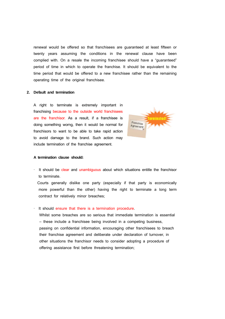renewal would be offered so that franchisees are guaranteed at least fifteen or twenty years assuming the conditions in the renewal clause have been complied with. On a resale the incoming franchisee should have a "guaranteed" period of time in which to operate the franchise. It should be equivalent to the time period that would be offered to a new franchisee rather than the remaining operating time of the original franchisee.

### **2. Default and termination**

A right to terminate is extremely important in franchising because to the outside world franchisees are the franchisor. As a result, if a franchisee is doing something worng, then it would be normal for franchisors to want to be able to take rapid action to avoid damage to the brand. Such action may include termination of the franchise agreement.



#### **A termination clause should:**

It should be clear and unambiguous about which situations entitle the franchisor to terminate.

 Courts generally dislike one party (especially if that party is economically more powerful than the other) having the right to terminate a long term contract for relatively minor breaches;

#### It should ensure that there is a termination procedure.

 Whilst some breaches are so serious that immediate termination is essential – these include a franchisee being involved in a competing business, passing on confidential information, encouraging other franchisees to breach their franchise agreement and deliberate under declaration of turnover, in other situations the franchisor needs to consider adopting a procedure of offering assistance first before threatening termination;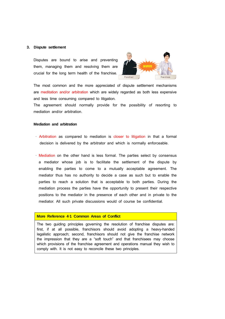#### **3. Dispute settlement**

Disputes are bound to arise and preventing them, managing them and resolving them are crucial for the long term health of the franchise.



The most common and the more appreciated of dispute settlement mechanisms are meditation and/or arbitration which are widely regarded as both less expensive and less time consuming compared to litigation.

The agreement should normally provide for the possibility of resorting to mediation and/or arbitration.

#### **Mediation and arbitration**

- · Arbitration as compared to mediation is closer to litigation in that a formal decision is delivered by the arbitrator and which is normally enforceable.
- · Mediation on the other hand is less formal. The parties select by consensus a mediator whose job is to facilitate the settlement of the dispute by enabling the parties to come to a mutually acceptable agreement. The mediator thus has no authority to decide a case as such but to enable the parties to reach a solution that is acceptable to both parties. During the mediation process the parties have the opportunity to present their respective positions to the mediator in the presence of each other and in private to the mediator. All such private discussions would of course be confidential.

# **More Reference 4**‐**1 Common Areas of Conflict**

The two guiding principles governing the resolution of franchise disputes are: first, if at all possible, franchisors should avoid adopting a heavy-handed legalistic approach; second, franchisors should not give the franchise network the impression that they are a "soft touch" and that franchisees may choose which provisions of the franchise agreement and operations manual they wish to comply with. It is not easy to reconcile these two principles.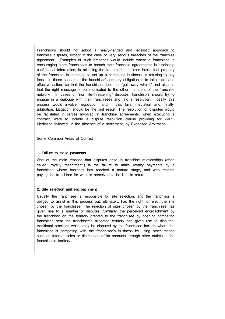Franchisors should not adopt a heavy-handed and legalistic approach to franchise disputes, except in the case of very serious breaches of the franchise agreement. Examples of such breaches would include where a franchisee is encouraging other franchisees to breach their franchise agreements; is disclosing confidential information; is misusing the trademarks or other intellectual property of the franchise; is intending to set up a competing business; is refusing to pay fees. In these scenarios, the franchisor's primary obligation is to take rapid and effective action, so that the franchisee does not "get away with it" and also so that the right message is communicated to the other members of the franchise network. In cases of "non life-threatening" disputes, franchisors should try to engage in a dialogue with their franchisees and find a resolution. Ideally, this process would involve negotiation, and if that fails, mediation and, finally, arbitration. Litigation should be the last resort. The resolution of disputes would be facilitated if parties involved in franchise agreements, when executing a contract, were to include a dispute resolution clause providing for WIPO Mediation followed, in the absence of a settlement, by Expedited Arbitration.

Some Common Areas of Conflict

# **1. Failure to make payments**

One of the main reasons that disputes arise in franchise relationships (often called "royalty resentment") is the failure to make royalty payments by a franchisee whose business has reached a mature stage, and who resents paying the franchisor for what is perceived to be little in return.

### **2. Site selection and encroachment**

Usually, the franchisee is responsible for site selection, and the franchisor is obliged to assist in this process but, ultimately, has the right to reject the site chosen by the franchisee. The rejection of sites chosen by the franchisee has given rise to a number of disputes. Similarly, the perceived encroachment by the franchisor on the territory granted to the franchisee by opening competing franchises near the franchisee's allocated territory has given rise to disputes. Additional practices which may be disputed by the franchisee include where the franchisor is competing with the franchisee's business by using other means such as Internet sales or distribution of its products through other outlets in the franchisee's territory.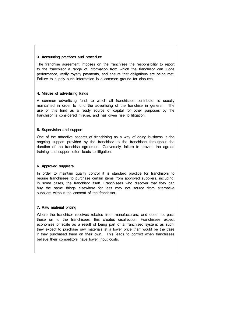# **3. Accounting practices and procedure**

The franchise agreement imposes on the franchisee the responsibility to report to the franchisor a range of information from which the franchisor can judge performance, verify royalty payments, and ensure that obligations are being met. Failure to supply such information is a common ground for disputes.

# **4. Misuse of advertising funds**

A common advertising fund, to which all franchisees contribute, is usually maintained in order to fund the advertising of the franchise in general. The use of this fund as a ready source of capital for other purposes by the franchisor is considered misuse, and has given rise to litigation.

# **5. Supervision and support**

One of the attractive aspects of franchising as a way of doing business is the ongoing support provided by the franchisor to the franchisee throughout the duration of the franchise agreement. Conversely, failure to provide the agreed training and support often leads to litigation.

# **6. Approved suppliers**

In order to maintain quality control it is standard practice for franchisors to require franchisees to purchase certain items from approved suppliers, including, in some cases, the franchisor itself. Franchisees who discover that they can buy the same things elsewhere for less may not source from alternative suppliers without the consent of the franchisor.

# **7. Raw material pricing**

Where the franchisor receives rebates from manufacturers, and does not pass these on to the franchisees, this creates disaffection. Franchisees expect economies of scale as a result of being part of a franchised system; as such, they expect to purchase raw materials at a lower price than would be the case if they purchased them on their own. This leads to conflict when franchisees believe their competitors have lower input costs.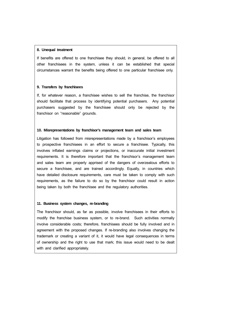### **8. Unequal treatment**

If benefits are offered to one franchisee they should, in general, be offered to all other franchisees in the system, unless it can be established that special circumstances warrant the benefits being offered to one particular franchisee only.

### **9. Transfers by franchisees**

If, for whatever reason, a franchisee wishes to sell the franchise, the franchisor should facilitate that process by identifying potential purchasers. Any potential purchasers suggested by the franchisee should only be rejected by the franchisor on "reasonable" grounds.

### **10. Misrepresentations by franchisor's management team and sales team**

Litigation has followed from misrepresentations made by a franchisor's employees to prospective franchisees in an effort to secure a franchisee. Typically, this involves inflated earnings claims or projections, or inaccurate initial investment requirements. It is therefore important that the franchisor's management team and sales team are properly apprised of the dangers of overzealous efforts to secure a franchisee, and are trained accordingly. Equally, in countries which have detailed disclosure requirements, care must be taken to comply with such requirements, as the failure to do so by the franchisor could result in action being taken by both the franchisee and the regulatory authorities.

### **11. Business system changes, re-branding**

The franchisor should, as far as possible, involve franchisees in their efforts to modify the franchise business system, or to re-brand. Such activities normally involve considerable costs; therefore, franchisees should be fully involved and in agreement with the proposed changes. If re-branding also involves changing the trademark or creating a variant of it, it would have legal consequences in terms of ownership and the right to use that mark; this issue would need to be dealt with and clarified appropriately.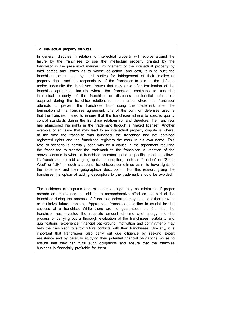# **12. Intellectual property disputes**

In general, disputes in relation to intellectual property will revolve around the failure by the franchisee to use the intellectual property granted by the franchisor in the prescribed manner; infringement of the intellectual property by third parties and issues as to whose obligation (and cost) it is to sue; the franchisee being sued by third parties for infringement of their intellectual property rights and the responsibility of the franchisor to join in the defense and/or indemnify the franchisee. Issues that may arise after termination of the franchise agreement include where the franchisee continues to use the intellectual property of the franchise, or discloses confidential information acquired during the franchise relationship. In a case where the franchisor attempts to prevent the franchisee from using the trademark after the termination of the franchise agreement, one of the common defenses used is that the franchisor failed to ensure that the franchisee adhere to specific quality control standards during the franchise relationship, and therefore, the franchisor has abandoned his rights in the trademark through a "naked license". Another example of an issue that may lead to an intellectual property dispute is where, at the time the franchise was launched, the franchisor had not obtained registered rights and the franchisee registers the mark in his own name. This type of scenario is normally dealt with by a clause in the agreement requiring the franchisee to transfer the trademark to the franchisor. A variation of the above scenario is where a franchisor operates under a specific brand but allows its franchisees to add a geographical description, such as "London" or "South West" or "UK". In such situations, franchisees sometimes claim to have rights to the trademark and their geographical description. For this reason, giving the franchisee the option of adding descriptors to the trademark should be avoided.

The incidence of disputes and misunderstandings may be minimized if proper records are maintained. In addition, a comprehensive effort on the part of the franchisor during the process of franchisee selection may help to either prevent or minimize future problems. Appropriate franchisee selection is crucial for the success of a franchise. While there are no guarantees, the fact that the franchisor has invested the requisite amount of time and energy into the process of carrying out a thorough evaluation of the franchisees' suitability and qualifications (experience, financial background, motivation and commitment) may help the franchisor to avoid future conflicts with their franchisees. Similarly, it is important that franchisees also carry out due diligence by seeking expert assistance and by carefully studying their potential financial obligations, so as to ensure that they can fulfill such obligations and ensure that the franchise business is financially profitable for them.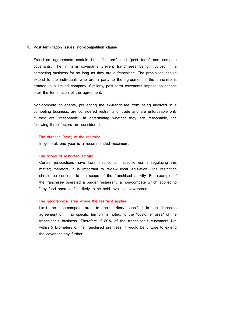#### **4. Post termination issues; non-competition clause**

Franchise agreements contain both "in term" and "post term" non compete covenants. The in term covenants prevent franchisees being involved in a competing business for so long as they are a franchisee. The prohibition should extend to the individuals who are a party to the agreement if the franchise is granted to a limited company. Similarly, post term covenants impose obligations after the termination of the agreement.

Non-compete covenants, preventing the ex-franchisee from being involved in a competing business, are considered restraints of trade and are enforceable only if they are "reasonable'. In determining whether they are reasonable, the following three factors are considered:

#### · The duration (time) of the restraint

In general, one year is a recommended maximum.

# · The scope of restricted activity

 Certain jurisdictions have laws that contain specific norms regulating this matter; therefore, it is important to review local legislation. The restriction should be confined to the scope of the franchised activity. For example, if the franchisee operated a burger restaurant, a non-compete which applied to "any food operation" is likely to be held invalid as overbroad.

# · The geographical area where the restraint applies

 Limit the non-compete area to the territory specified in the franchise agreement or, if no specific territory is noted, to the "customer area" of the franchisee's business. Therefore if 80% of the franchisee's customers live within 5 kilometers of the franchised premises, it would be unwise to extend the covenant any further.